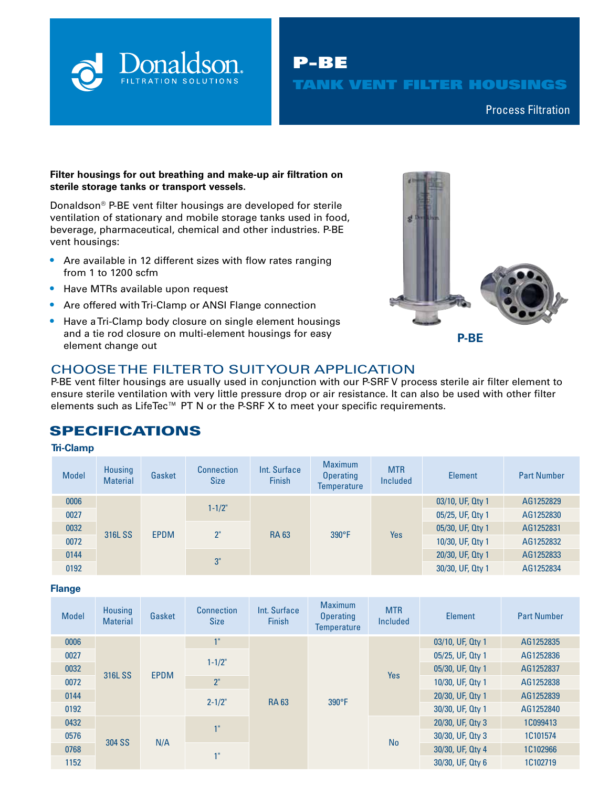

P-BE TANK VENT FILTER HOUSINGS

Compressed Air & Process Filtration Process Filtration

### **Filter housings for out breathing and make-up air filtration on sterile storage tanks or transport vessels.**

Donaldson® P-BE vent filter housings are developed for sterile ventilation of stationary and mobile storage tanks used in food, beverage, pharmaceutical, chemical and other industries. P-BE vent housings:

- **•** Are available in 12 different sizes with flow rates ranging from 1 to 1200 scfm
- **•** Have MTRs available upon request
- **•** Are offered with Tri-Clamp or ANSI Flange connection
- **•** Have a Tri-Clamp body closure on single element housings and a tie rod closure on multi-element housings for easy element change out **P-BE**



## CHOOSE THE FILTER TO SUIT YOUR APPLICATION

P-BE vent filter housings are usually used in conjunction with our P-SRF V process sterile air filter element to ensure sterile ventilation with very little pressure drop or air resistance. It can also be used with other filter elements such as LifeTec<sup>™</sup> PT N or the P-SRF X to meet your specific requirements.

# SPECIFICATIONS

### **Tri-Clamp**

| <b>Model</b> | Housing<br><b>Material</b> | Gasket      | <b>Connection</b><br><b>Size</b> | Int. Surface<br><b>Finish</b> | <b>Maximum</b><br><b>Operating</b><br><b>Temperature</b> | <b>MTR</b><br><b>Included</b> | Element          | <b>Part Number</b> |
|--------------|----------------------------|-------------|----------------------------------|-------------------------------|----------------------------------------------------------|-------------------------------|------------------|--------------------|
| 0006         | 316L SS                    | <b>EPDM</b> | $1 - 1/2"$                       | <b>RA 63</b>                  | $390^\circ F$                                            | Yes                           | 03/10, UF, Qty 1 | AG1252829          |
| 0027         |                            |             |                                  |                               |                                                          |                               | 05/25, UF, Qty 1 | AG1252830          |
| 0032         |                            |             | 2"                               |                               |                                                          |                               | 05/30, UF, Qty 1 | AG1252831          |
| 0072         |                            |             |                                  |                               |                                                          |                               | 10/30, UF, Qty 1 | AG1252832          |
| 0144         |                            |             | 3"                               |                               |                                                          |                               | 20/30, UF, Qty 1 | AG1252833          |
| 0192         |                            |             |                                  |                               |                                                          |                               | 30/30, UF, Qty 1 | AG1252834          |

### **Flange**

| <b>Model</b> | Housing<br><b>Material</b> | Gasket      | <b>Connection</b><br><b>Size</b> | Int. Surface<br><b>Finish</b> | <b>Maximum</b><br><b>Operating</b><br><b>Temperature</b> | <b>MTR</b><br>Included | Element          | <b>Part Number</b> |
|--------------|----------------------------|-------------|----------------------------------|-------------------------------|----------------------------------------------------------|------------------------|------------------|--------------------|
| 0006         |                            | <b>EPDM</b> | 1"                               | <b>RA 63</b>                  | $390^{\circ}F$                                           | <b>Yes</b>             | 03/10, UF, Qty 1 | AG1252835          |
| 0027         |                            |             | $1 - 1/2"$                       |                               |                                                          |                        | 05/25, UF, Qty 1 | AG1252836          |
| 0032         | 316L SS                    |             |                                  |                               |                                                          |                        | 05/30, UF, Qty 1 | AG1252837          |
| 0072         |                            |             | 2 <sup>0</sup>                   |                               |                                                          |                        | 10/30, UF, Qty 1 | AG1252838          |
| 0144         |                            |             | $2 - 1/2"$                       |                               |                                                          |                        | 20/30, UF, Qty 1 | AG1252839          |
| 0192         |                            |             |                                  |                               |                                                          |                        | 30/30, UF, Qty 1 | AG1252840          |
| 0432         |                            | N/A         | 1"                               |                               |                                                          | <b>No</b>              | 20/30, UF, Qty 3 | 1C099413           |
| 0576         | 304 SS                     |             |                                  |                               |                                                          |                        | 30/30, UF, Qty 3 | 1C101574           |
| 0768         |                            |             | 1"                               |                               |                                                          |                        | 30/30, UF, Qty 4 | 1C102966           |
| 1152         |                            |             |                                  |                               |                                                          |                        | 30/30, UF, Qty 6 | 1C102719           |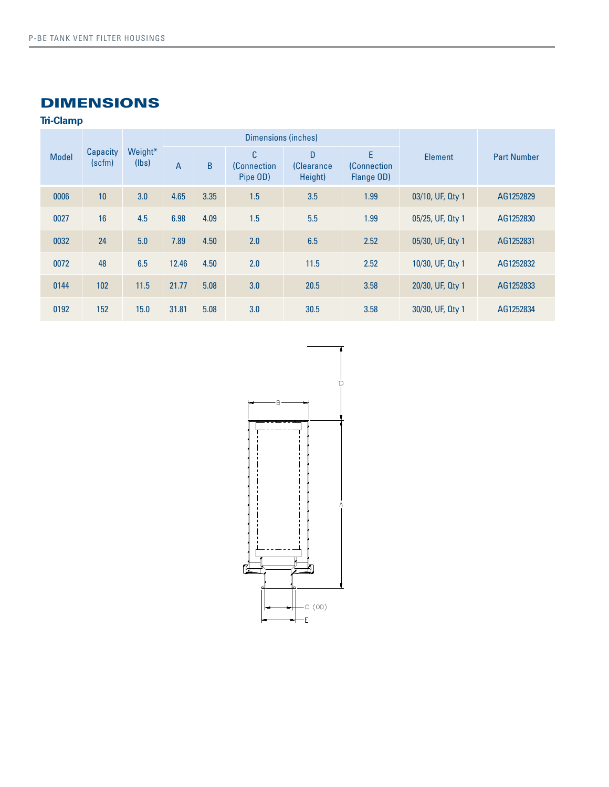# DIMENSIONS

**Tri-Clamp**

| <b>Model</b> | Capacity<br>(scfm) | Weight*<br>(lbs) |                |              | Dimensions (inches)                 |                                   |                                       |                  |                    |
|--------------|--------------------|------------------|----------------|--------------|-------------------------------------|-----------------------------------|---------------------------------------|------------------|--------------------|
|              |                    |                  | $\overline{A}$ | <sub>B</sub> | C<br><b>(Connection</b><br>Pipe OD) | D<br><b>(Clearance</b><br>Height) | E<br><b>(Connection</b><br>Flange OD) | Element          | <b>Part Number</b> |
| 0006         | 10                 | 3.0              | 4.65           | 3.35         | 1.5                                 | 3.5                               | 1.99                                  | 03/10, UF, Qty 1 | AG1252829          |
| 0027         | 16                 | 4.5              | 6.98           | 4.09         | 1.5                                 | 5.5                               | 1.99                                  | 05/25, UF, Qty 1 | AG1252830          |
| 0032         | 24                 | 5.0              | 7.89           | 4.50         | 2.0                                 | 6.5                               | 2.52                                  | 05/30, UF, Qty 1 | AG1252831          |
| 0072         | 48                 | 6.5              | 12.46          | 4.50         | 2.0                                 | 11.5                              | 2.52                                  | 10/30, UF, Qty 1 | AG1252832          |
| 0144         | 102                | 11.5             | 21.77          | 5.08         | 3.0                                 | 20.5                              | 3.58                                  | 20/30, UF, Qty 1 | AG1252833          |
| 0192         | 152                | 15.0             | 31.81          | 5.08         | 3.0                                 | 30.5                              | 3.58                                  | 30/30, UF, Qty 1 | AG1252834          |